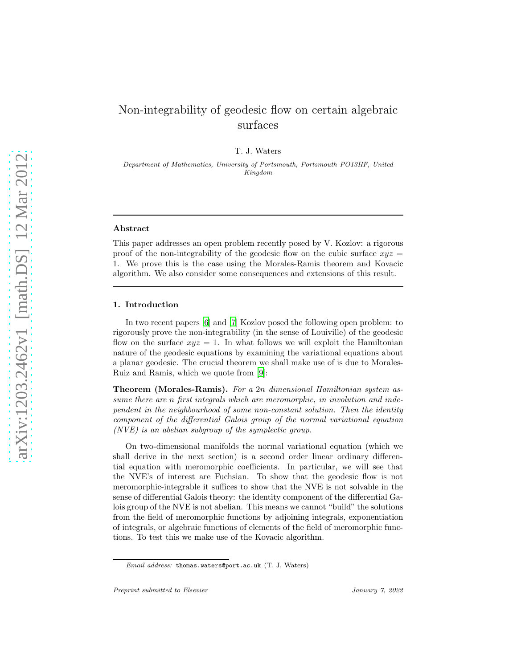# Non-integrability of geodesic flow on certain algebraic surfaces

T. J. Waters

Department of Mathematics, University of Portsmouth, Portsmouth PO13HF, United Kingdom

#### Abstract

This paper addresses an open problem recently posed by V. Kozlov: a rigorous proof of the non-integrability of the geodesic flow on the cubic surface  $xyz =$ 1. We prove this is the case using the Morales-Ramis theorem and Kovacic algorithm. We also consider some consequences and extensions of this result.

## 1. Introduction

In two recent papers [\[6\]](#page-8-0) and [\[7](#page-8-1)] Kozlov posed the following open problem: to rigorously prove the non-integrability (in the sense of Louiville) of the geodesic flow on the surface  $xyz = 1$ . In what follows we will exploit the Hamiltonian nature of the geodesic equations by examining the variational equations about a planar geodesic. The crucial theorem we shall make use of is due to Morales-Ruiz and Ramis, which we quote from [\[9\]](#page-8-2):

Theorem (Morales-Ramis). For a 2n dimensional Hamiltonian system assume there are n first integrals which are meromorphic, in involution and independent in the neighbourhood of some non-constant solution. Then the identity component of the differential Galois group of the normal variational equation (NVE) is an abelian subgroup of the symplectic group.

On two-dimensional manifolds the normal variational equation (which we shall derive in the next section) is a second order linear ordinary differential equation with meromorphic coefficients. In particular, we will see that the NVE's of interest are Fuchsian. To show that the geodesic flow is not meromorphic-integrable it suffices to show that the NVE is not solvable in the sense of differential Galois theory: the identity component of the differential Galois group of the NVE is not abelian. This means we cannot "build" the solutions from the field of meromorphic functions by adjoining integrals, exponentiation of integrals, or algebraic functions of elements of the field of meromorphic functions. To test this we make use of the Kovacic algorithm.

Email address: thomas.waters@port.ac.uk (T. J. Waters)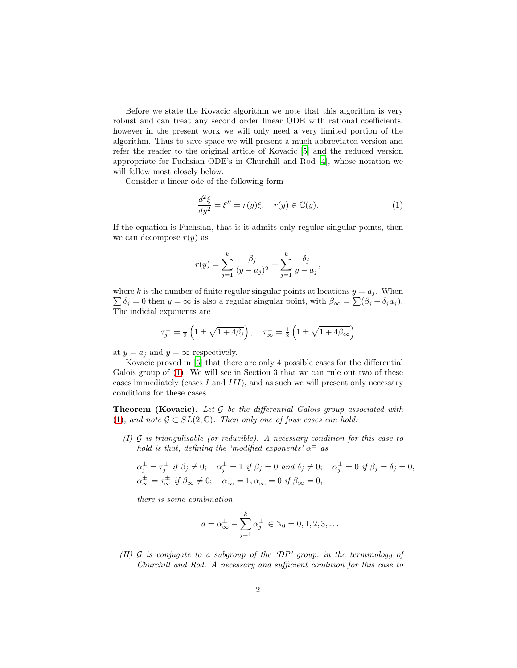Before we state the Kovacic algorithm we note that this algorithm is very robust and can treat any second order linear ODE with rational coefficients, however in the present work we will only need a very limited portion of the algorithm. Thus to save space we will present a much abbreviated version and refer the reader to the original article of Kovacic [\[5\]](#page-7-0) and the reduced version appropriate for Fuchsian ODE's in Churchill and Rod [\[4\]](#page-7-1), whose notation we will follow most closely below.

Consider a linear ode of the following form

<span id="page-1-0"></span>
$$
\frac{d^2\xi}{dy^2} = \xi'' = r(y)\xi, \quad r(y) \in \mathbb{C}(y). \tag{1}
$$

If the equation is Fuchsian, that is it admits only regular singular points, then we can decompose  $r(y)$  as

$$
r(y) = \sum_{j=1}^{k} \frac{\beta_j}{(y - a_j)^2} + \sum_{j=1}^{k} \frac{\delta_j}{y - a_j},
$$

where k is the number of finite regular singular points at locations  $y = a_j$ . When  $\sum \delta_j = 0$  then  $y = \infty$  is also a regular singular point, with  $\beta_{\infty} = \sum (\beta_j + \delta_j a_j)$ . The indicial exponents are

$$
\tau_j^{\pm} = \frac{1}{2} \left( 1 \pm \sqrt{1 + 4\beta_j} \right), \quad \tau_{\infty}^{\pm} = \frac{1}{2} \left( 1 \pm \sqrt{1 + 4\beta_{\infty}} \right)
$$

at  $y = a_j$  and  $y = \infty$  respectively.

Kovacic proved in [\[5](#page-7-0)] that there are only 4 possible cases for the differential Galois group of [\(1\)](#page-1-0). We will see in Section 3 that we can rule out two of these cases immediately (cases I and  $III$ ), and as such we will present only necessary conditions for these cases.

**Theorem (Kovacic).** Let  $\mathcal G$  be the differential Galois group associated with [\(1\)](#page-1-0), and note  $\mathcal{G} \subset SL(2,\mathbb{C})$ . Then only one of four cases can hold:

(I)  $\mathcal G$  is triangulisable (or reducible). A necessary condition for this case to hold is that, defining the 'modified exponents'  $\alpha^{\pm}$  as

$$
\alpha_j^{\pm} = \tau_j^{\pm} \text{ if } \beta_j \neq 0; \quad \alpha_j^{\pm} = 1 \text{ if } \beta_j = 0 \text{ and } \delta_j \neq 0; \quad \alpha_j^{\pm} = 0 \text{ if } \beta_j = \delta_j = 0,
$$
  

$$
\alpha_{\infty}^{\pm} = \tau_{\infty}^{\pm} \text{ if } \beta_{\infty} \neq 0; \quad \alpha_{\infty}^{+} = 1, \alpha_{\infty}^{-} = 0 \text{ if } \beta_{\infty} = 0,
$$

there is some combination

$$
d = \alpha_{\infty}^{\pm} - \sum_{j=1}^{k} \alpha_j^{\pm} \in \mathbb{N}_0 = 0, 1, 2, 3, \dots
$$

(II)  $\mathcal G$  is conjugate to a subgroup of the 'DP' group, in the terminology of Churchill and Rod. A necessary and sufficient condition for this case to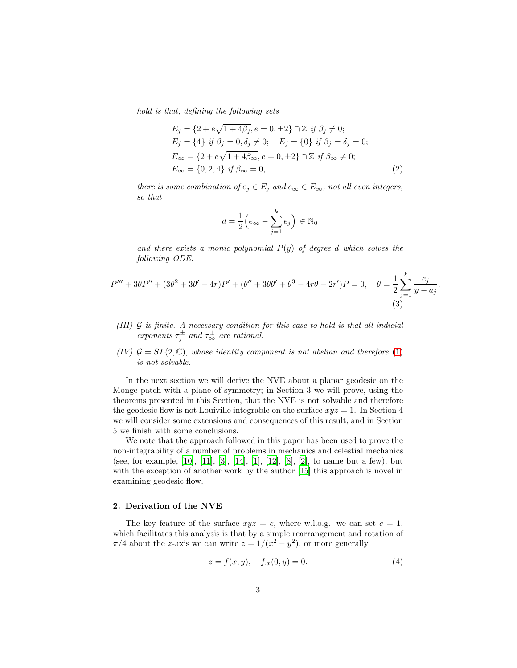hold is that, defining the following sets

$$
E_j = \{2 + e\sqrt{1 + 4\beta_j}, e = 0, \pm 2\} \cap \mathbb{Z} \text{ if } \beta_j \neq 0; E_j = \{4\} \text{ if } \beta_j = 0, \delta_j \neq 0; \quad E_j = \{0\} \text{ if } \beta_j = \delta_j = 0; E_{\infty} = \{2 + e\sqrt{1 + 4\beta_{\infty}}, e = 0, \pm 2\} \cap \mathbb{Z} \text{ if } \beta_{\infty} \neq 0; E_{\infty} = \{0, 2, 4\} \text{ if } \beta_{\infty} = 0,
$$
\n(2)

there is some combination of  $e_j \in E_j$  and  $e_\infty \in E_\infty$ , not all even integers, so that

<span id="page-2-2"></span><span id="page-2-1"></span>
$$
d = \frac{1}{2} \left( e_{\infty} - \sum_{j=1}^{k} e_j \right) \in \mathbb{N}_0
$$

and there exists a monic polynomial  $P(y)$  of degree d which solves the following ODE:

$$
P''' + 3\theta P'' + (3\theta^2 + 3\theta' - 4r)P' + (\theta'' + 3\theta\theta' + \theta^3 - 4r\theta - 2r')P = 0, \quad \theta = \frac{1}{2}\sum_{j=1}^{k} \frac{e_j}{y - a_j}.
$$
\n(3)

- (III) G is finite. A necessary condition for this case to hold is that all indicial  $\epsilon$ *xponents*  $\tau_i^{\pm}$  $\tau_{\infty}^{\pm}$  and  $\tau_{\infty}^{\pm}$  are rational.
- (IV)  $G = SL(2, \mathbb{C})$ , whose identity component is not abelian and therefore [\(1\)](#page-1-0) is not solvable.

In the next section we will derive the NVE about a planar geodesic on the Monge patch with a plane of symmetry; in Section 3 we will prove, using the theorems presented in this Section, that the NVE is not solvable and therefore the geodesic flow is not Louiville integrable on the surface  $xyz = 1$ . In Section 4 we will consider some extensions and consequences of this result, and in Section 5 we finish with some conclusions.

We note that the approach followed in this paper has been used to prove the non-integrability of a number of problems in mechanics and celestial mechanics (see, for example, [\[10\]](#page-8-3), [\[11\]](#page-8-4), [\[3\]](#page-7-2), [\[14\]](#page-8-5), [\[1\]](#page-7-3), [\[12\]](#page-8-6), [\[8\]](#page-8-7), [\[2\]](#page-7-4), to name but a few), but with the exception of another work by the author [\[15\]](#page-8-8) this approach is novel in examining geodesic flow.

## 2. Derivation of the NVE

The key feature of the surface  $xyz = c$ , where w.l.o.g. we can set  $c = 1$ , which facilitates this analysis is that by a simple rearrangement and rotation of  $\pi/4$  about the z-axis we can write  $z = 1/(x^2 - y^2)$ , or more generally

<span id="page-2-0"></span>
$$
z = f(x, y), \quad f_{,x}(0, y) = 0.
$$
 (4)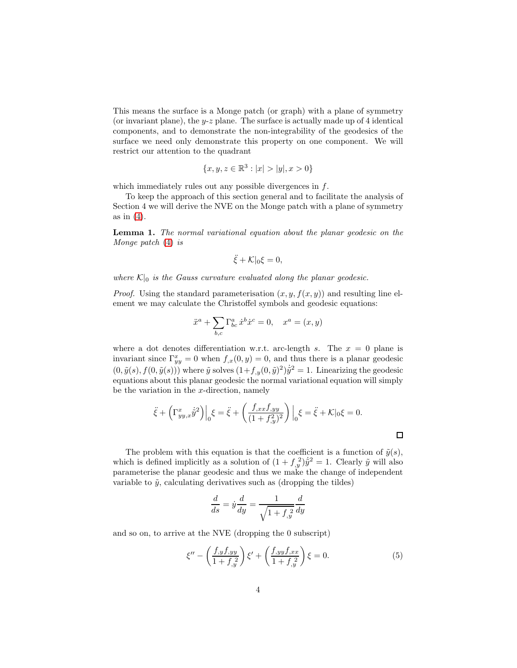This means the surface is a Monge patch (or graph) with a plane of symmetry (or invariant plane), the  $y-z$  plane. The surface is actually made up of 4 identical components, and to demonstrate the non-integrability of the geodesics of the surface we need only demonstrate this property on one component. We will restrict our attention to the quadrant

$$
\{x, y, z \in \mathbb{R}^3 : |x| > |y|, x > 0\}
$$

which immediately rules out any possible divergences in  $f$ .

To keep the approach of this section general and to facilitate the analysis of Section 4 we will derive the NVE on the Monge patch with a plane of symmetry as in  $(4)$ .

Lemma 1. The normal variational equation about the planar geodesic on the Monge patch [\(4\)](#page-2-0) is

$$
\ddot{\xi} + \mathcal{K}|_0 \xi = 0,
$$

where  $\mathcal{K}|_0$  is the Gauss curvature evaluated along the planar geodesic.

*Proof.* Using the standard parameterisation  $(x, y, f(x, y))$  and resulting line element we may calculate the Christoffel symbols and geodesic equations:

$$
\ddot{x}^{a} + \sum_{b,c} \Gamma^{a}_{bc} \dot{x}^{b} \dot{x}^{c} = 0, \quad x^{a} = (x, y)
$$

where a dot denotes differentiation w.r.t. arc-length s. The  $x = 0$  plane is invariant since  $\Gamma_{yy}^x = 0$  when  $f_{,x}(0, y) = 0$ , and thus there is a planar geodesic  $(0, \tilde{y}(s), f(0, \tilde{y}(s)))$  where  $\tilde{y}$  solves  $(1+f_{,y}(0, \tilde{y})^2)\dot{\tilde{y}}^2 = 1$ . Linearizing the geodesic equations about this planar geodesic the normal variational equation will simply be the variation in the  $x$ -direction, namely

$$
\ddot{\xi} + \left(\Gamma_{yy,x}^x \dot{\tilde{y}}^2\right)\Big|_0 \xi = \ddot{\xi} + \left(\frac{f_{,xx}f_{,yy}}{(1+f_{,y}^2)^2}\right)\Big|_0 \xi = \ddot{\xi} + \mathcal{K}|_0 \xi = 0.
$$

The problem with this equation is that the coefficient is a function of  $\tilde{y}(s)$ , which is defined implicitly as a solution of  $(1 + f_{y}^{2})\hat{y}^{2} = 1$ . Clearly  $\tilde{y}$  will also parameterise the planar geodesic and thus we make the change of independent variable to  $\tilde{y}$ , calculating derivatives such as (dropping the tildes)

$$
\frac{d}{ds} = \dot{y}\frac{d}{dy} = \frac{1}{\sqrt{1 + f_{,y}^2}} \frac{d}{dy}
$$

and so on, to arrive at the NVE (dropping the 0 subscript)

$$
\xi'' - \left(\frac{f_{,y}f_{,yy}}{1 + f_{,y}^2}\right)\xi' + \left(\frac{f_{,yy}f_{,xx}}{1 + f_{,y}^2}\right)\xi = 0.
$$
\n(5)

<span id="page-3-0"></span> $\Box$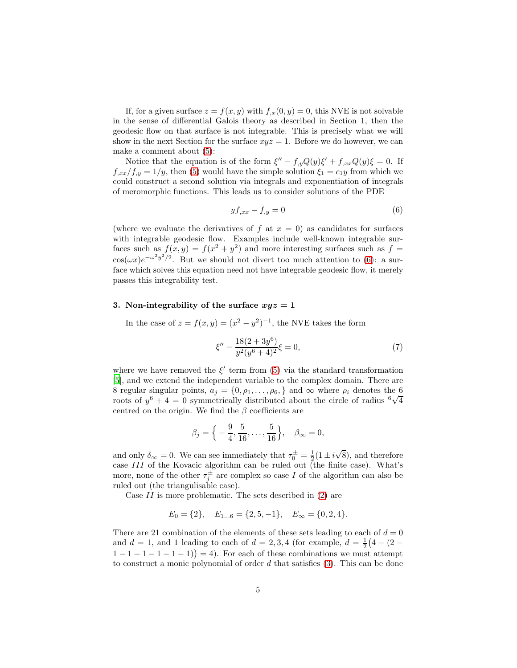If, for a given surface  $z = f(x, y)$  with  $f_{x}(0, y) = 0$ , this NVE is not solvable in the sense of differential Galois theory as described in Section 1, then the geodesic flow on that surface is not integrable. This is precisely what we will show in the next Section for the surface  $xyz = 1$ . Before we do however, we can make a comment about [\(5\)](#page-3-0):

Notice that the equation is of the form  $\xi'' - f_{,y}Q(y)\xi' + f_{,xx}Q(y)\xi = 0$ . If  $f_{,xx}/f_{,y} = 1/y$ , then [\(5\)](#page-3-0) would have the simple solution  $\xi_1 = c_1y$  from which we could construct a second solution via integrals and exponentiation of integrals of meromorphic functions. This leads us to consider solutions of the PDE

<span id="page-4-0"></span>
$$
yf_{,xx} - f_{,y} = 0 \tag{6}
$$

(where we evaluate the derivatives of f at  $x = 0$ ) as candidates for surfaces with integrable geodesic flow. Examples include well-known integrable surfaces such as  $f(x, y) = f(x^2 + y^2)$  and more interesting surfaces such as  $f =$  $\cos(\omega x)e^{-\omega^2 y^2/2}$ . But we should not divert too much attention to [\(6\)](#page-4-0): a surface which solves this equation need not have integrable geodesic flow, it merely passes this integrability test.

# 3. Non-integrability of the surface  $xyz = 1$

In the case of  $z = f(x, y) = (x^2 - y^2)^{-1}$ , the NVE takes the form

<span id="page-4-1"></span>
$$
\xi'' - \frac{18(2+3y^6)}{y^2(y^6+4)^2}\xi = 0,\t\t(7)
$$

where we have removed the  $\xi'$  term from [\(5\)](#page-3-0) via the standard transformation [\[5\]](#page-7-0), and we extend the independent variable to the complex domain. There are 8 regular singular points,  $a_i = \{0, \rho_1, \ldots, \rho_6\}$  and  $\infty$  where  $\rho_i$  denotes the 6 roots of  $y^6 + 4 = 0$  symmetrically distributed about the circle of radius  $\sqrt[6]{4}$ centred on the origin. We find the  $\beta$  coefficients are

$$
\beta_j = \left\{-\frac{9}{4}, \frac{5}{16}, \dots, \frac{5}{16}\right\}, \quad \beta_\infty = 0,
$$

and only  $\delta_{\infty} = 0$ . We can see immediately that  $\tau_0^{\pm} = \frac{1}{2} (1 \pm i \sqrt{8})$ , and therefore case III of the Kovacic algorithm can be ruled out (the finite case). What's more, none of the other  $\tau_i^{\pm}$  $j^{\pm}$  are complex so case I of the algorithm can also be ruled out (the triangulisable case).

Case  $II$  is more problematic. The sets described in  $(2)$  are

$$
E_0 = \{2\},
$$
  $E_{1...6} = \{2, 5, -1\},$   $E_{\infty} = \{0, 2, 4\}.$ 

There are 21 combination of the elements of these sets leading to each of  $d = 0$ and  $d = 1$ , and 1 leading to each of  $d = 2, 3, 4$  (for example,  $d = \frac{1}{2}(4 - (2 1-1-1-1-1-1$ ) = 4). For each of these combinations we must attempt to construct a monic polynomial of order  $d$  that satisfies  $(3)$ . This can be done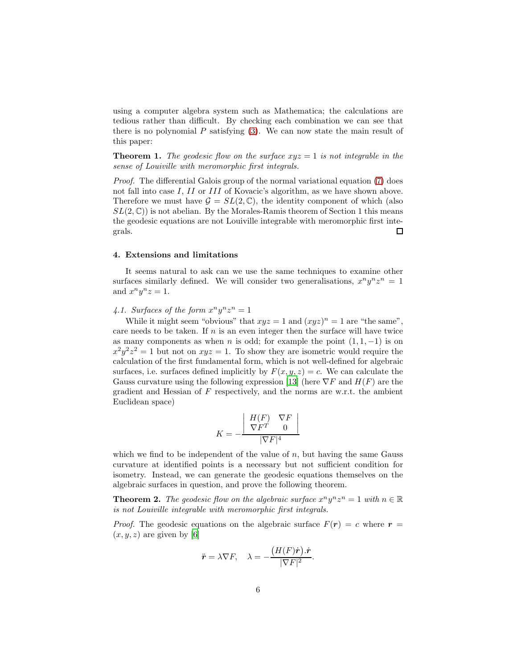using a computer algebra system such as Mathematica; the calculations are tedious rather than difficult. By checking each combination we can see that there is no polynomial  $P$  satisfying  $(3)$ . We can now state the main result of this paper:

**Theorem 1.** The geodesic flow on the surface  $xyz = 1$  is not integrable in the sense of Louiville with meromorphic first integrals.

Proof. The differential Galois group of the normal variational equation [\(7\)](#page-4-1) does not fall into case I, II or III of Kovacic's algorithm, as we have shown above. Therefore we must have  $\mathcal{G} = SL(2,\mathbb{C})$ , the identity component of which (also  $SL(2,\mathbb{C})$  is not abelian. By the Morales-Ramis theorem of Section 1 this means the geodesic equations are not Louiville integrable with meromorphic first inte- $\Box$ grals.

#### 4. Extensions and limitations

It seems natural to ask can we use the same techniques to examine other surfaces similarly defined. We will consider two generalisations,  $x^n y^n z^n = 1$ and  $x^n y^n z = 1$ .

# 4.1. Surfaces of the form  $x^n y^n z^n = 1$

While it might seem "obvious" that  $xyz = 1$  and  $(xyz)^n = 1$  are "the same", care needs to be taken. If  $n$  is an even integer then the surface will have twice as many components as when n is odd; for example the point  $(1, 1, -1)$  is on  $x^2y^2z^2 = 1$  but not on  $xyz = 1$ . To show they are isometric would require the calculation of the first fundamental form, which is not well-defined for algebraic surfaces, i.e. surfaces defined implicitly by  $F(x, y, z) = c$ . We can calculate the Gauss curvature using the following expression [\[13](#page-8-9)] (here  $\nabla F$  and  $H(F)$  are the gradient and Hessian of  $F$  respectively, and the norms are w.r.t. the ambient Euclidean space)

$$
K = -\frac{\begin{array}{c|c} H(F) & \nabla F \\ \nabla F^T & 0 \end{array}}{\nabla F|^4}
$$

which we find to be independent of the value of  $n$ , but having the same Gauss curvature at identified points is a necessary but not sufficient condition for isometry. Instead, we can generate the geodesic equations themselves on the algebraic surfaces in question, and prove the following theorem.

**Theorem 2.** The geodesic flow on the algebraic surface  $x^n y^n z^n = 1$  with  $n \in \mathbb{R}$ is not Louiville integrable with meromorphic first integrals.

*Proof.* The geodesic equations on the algebraic surface  $F(r) = c$  where  $r =$  $(x, y, z)$  are given by [\[6\]](#page-8-0)

$$
\ddot{\boldsymbol{r}}=\lambda\nabla F,\quad \lambda=-\frac{\left(H(F)\dot{\boldsymbol{r}}\right).\dot{\boldsymbol{r}}}{|\nabla F|^2}.
$$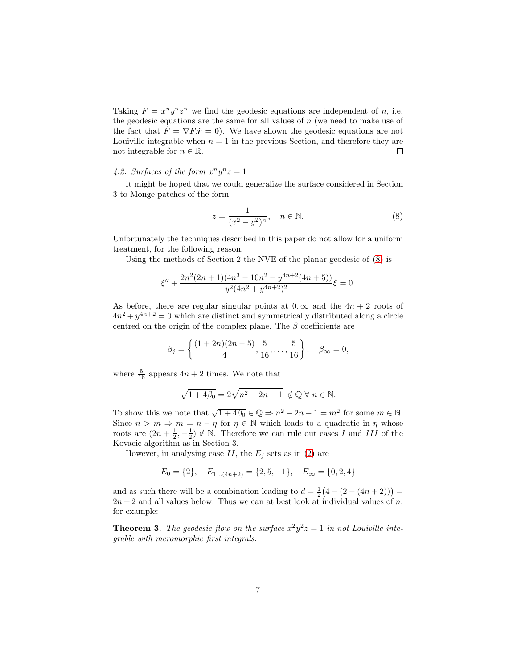Taking  $F = x^n y^n z^n$  we find the geodesic equations are independent of n, i.e. the geodesic equations are the same for all values of  $n$  (we need to make use of the fact that  $F = \nabla F \cdot \dot{\mathbf{r}} = 0$ . We have shown the geodesic equations are not Louiville integrable when  $n = 1$  in the previous Section, and therefore they are not integrable for  $n \in \mathbb{R}$ . □

# 4.2. Surfaces of the form  $x^n y^n z = 1$

It might be hoped that we could generalize the surface considered in Section 3 to Monge patches of the form

<span id="page-6-0"></span>
$$
z = \frac{1}{(x^2 - y^2)^n}, \quad n \in \mathbb{N}.
$$
 (8)

Unfortunately the techniques described in this paper do not allow for a uniform treatment, for the following reason.

Using the methods of Section 2 the NVE of the planar geodesic of [\(8\)](#page-6-0) is

$$
\xi'' + \frac{2n^2(2n+1)(4n^3 - 10n^2 - y^{4n+2}(4n+5))}{y^2(4n^2 + y^{4n+2})^2}\xi = 0.
$$

As before, there are regular singular points at  $0, \infty$  and the  $4n + 2$  roots of  $4n^2 + y^{4n+2} = 0$  which are distinct and symmetrically distributed along a circle centred on the origin of the complex plane. The  $\beta$  coefficients are

$$
\beta_j = \left\{ \frac{(1+2n)(2n-5)}{4}, \frac{5}{16}, \dots, \frac{5}{16} \right\}, \quad \beta_{\infty} = 0,
$$

where  $\frac{5}{16}$  appears  $4n + 2$  times. We note that

$$
\sqrt{1+4\beta_0}=2\sqrt{n^2-2n-1}\ \notin \mathbb{Q}\ \forall\ n\in \mathbb{N}.
$$

To show this we note that  $\sqrt{1+4\beta_0} \in \mathbb{Q} \Rightarrow n^2 - 2n - 1 = m^2$  for some  $m \in \mathbb{N}$ . Since  $n > m \Rightarrow m = n - \eta$  for  $\eta \in \mathbb{N}$  which leads to a quadratic in  $\eta$  whose roots are  $(2n+\frac{1}{2},-\frac{1}{2}) \notin \mathbb{N}$ . Therefore we can rule out cases I and III of the Kovacic algorithm as in Section 3.

However, in analysing case  $II$ , the  $E_j$  sets as in [\(2\)](#page-2-1) are

$$
E_0 = \{2\}, \quad E_{1...(4n+2)} = \{2, 5, -1\}, \quad E_{\infty} = \{0, 2, 4\}
$$

and as such there will be a combination leading to  $d = \frac{1}{2}(4 - (2 - (4n + 2)))$  $2n + 2$  and all values below. Thus we can at best look at individual values of n, for example:

**Theorem 3.** The geodesic flow on the surface  $x^2y^2z = 1$  in not Louiville integrable with meromorphic first integrals.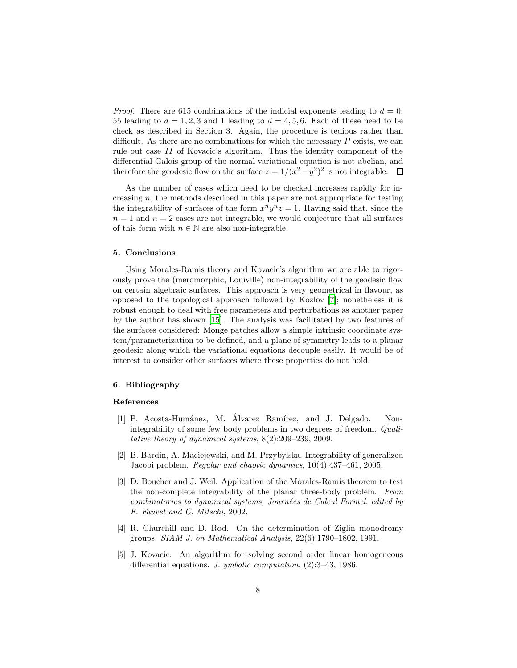*Proof.* There are 615 combinations of the indicial exponents leading to  $d = 0$ ; 55 leading to  $d = 1, 2, 3$  and 1 leading to  $d = 4, 5, 6$ . Each of these need to be check as described in Section 3. Again, the procedure is tedious rather than difficult. As there are no combinations for which the necessary  $P$  exists, we can rule out case II of Kovacic's algorithm. Thus the identity component of the differential Galois group of the normal variational equation is not abelian, and therefore the geodesic flow on the surface  $z = 1/(x^2 - y^2)^2$  is not integrable.

As the number of cases which need to be checked increases rapidly for increasing  $n$ , the methods described in this paper are not appropriate for testing the integrability of surfaces of the form  $x^n y^n z = 1$ . Having said that, since the  $n = 1$  and  $n = 2$  cases are not integrable, we would conjecture that all surfaces of this form with  $n \in \mathbb{N}$  are also non-integrable.

#### 5. Conclusions

Using Morales-Ramis theory and Kovacic's algorithm we are able to rigorously prove the (meromorphic, Louiville) non-integrability of the geodesic flow on certain algebraic surfaces. This approach is very geometrical in flavour, as opposed to the topological approach followed by Kozlov [\[7\]](#page-8-1); nonetheless it is robust enough to deal with free parameters and perturbations as another paper by the author has shown [\[15](#page-8-8)]. The analysis was facilitated by two features of the surfaces considered: Monge patches allow a simple intrinsic coordinate system/parameterization to be defined, and a plane of symmetry leads to a planar geodesic along which the variational equations decouple easily. It would be of interest to consider other surfaces where these properties do not hold.

#### 6. Bibliography

## References

- <span id="page-7-3"></span>[1] P. Acosta-Humánez, M. Álvarez Ramírez, and J. Delgado. Nonintegrability of some few body problems in two degrees of freedom. Qualitative theory of dynamical systems, 8(2):209–239, 2009.
- <span id="page-7-4"></span>[2] B. Bardin, A. Maciejewski, and M. Przybylska. Integrability of generalized Jacobi problem. Regular and chaotic dynamics, 10(4):437–461, 2005.
- <span id="page-7-2"></span>[3] D. Boucher and J. Weil. Application of the Morales-Ramis theorem to test the non-complete integrability of the planar three-body problem. From combinatorics to dynamical systems, Journées de Calcul Formel, edited by F. Fauvet and C. Mitschi, 2002.
- <span id="page-7-1"></span>[4] R. Churchill and D. Rod. On the determination of Ziglin monodromy groups. SIAM J. on Mathematical Analysis, 22(6):1790–1802, 1991.
- <span id="page-7-0"></span>[5] J. Kovacic. An algorithm for solving second order linear homogeneous differential equations. J. ymbolic computation, (2):3–43, 1986.